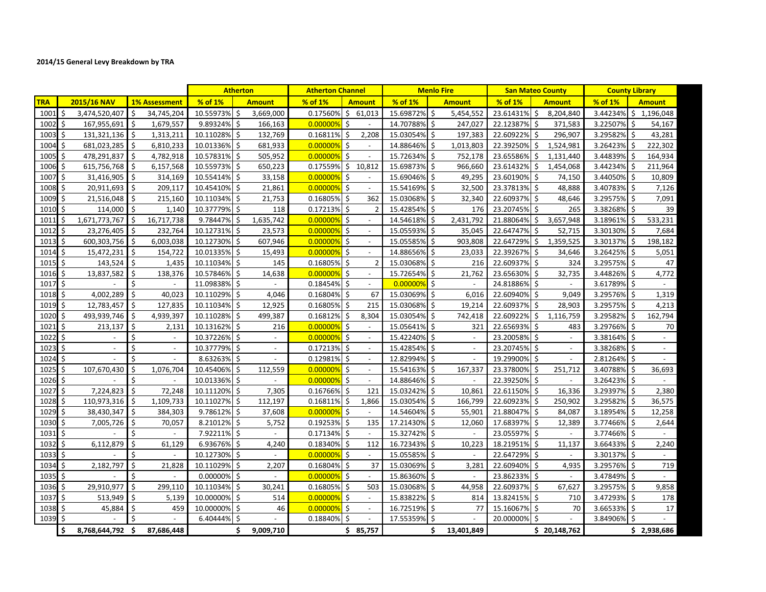|              |                        |                                |                | <b>Atherton</b>          | <b>Atherton Channel</b> |                                 | <b>Menlo Fire</b> |                          | <b>San Mateo County</b> |                          |                | <b>County Library</b>    |
|--------------|------------------------|--------------------------------|----------------|--------------------------|-------------------------|---------------------------------|-------------------|--------------------------|-------------------------|--------------------------|----------------|--------------------------|
| <b>TRA</b>   | 2015/16 NAV            | <b>1% Assessment</b>           | % of 1%        | <b>Amount</b>            | $%$ of $1%$             | <b>Amount</b>                   | % of 1%           | <b>Amount</b>            | % of 1%                 | <b>Amount</b>            | % of 1%        | <b>Amount</b>            |
| $1001 \,$ \$ | 3,474,520,407          | Ŝ.<br>34,745,204               | 10.55973% \$   | 3,669,000                |                         | $0.17560\%$ \$ 61,013           | 15.69872% \$      | 5,454,552                | 23.61431%               | Ŝ.<br>8,204,840          |                | 3.44234% \$1,196,048     |
| 1002         | Ŝ.<br>167,955,691      | Ŝ.<br>1,679,557                | 9.89324% \$    | 166,163                  | 0.00000%                | Ŝ.<br>$\sim$                    | 14.70788% \$      | 247,027                  | 22.12387%               | Ŝ<br>371,583             | 3.22507%       | Ś.<br>54,167             |
| 1003         | -\$<br>131,321,136 \$  | 1,313,211                      | 10.11028% \$   | 132,769                  | 0.16811%                | 2,208<br>Ŝ.                     | 15.03054% \$      | 197,383                  | 22.60922%               | Ŝ.<br>296,907            | 3.29582% \$    | 43,281                   |
| $1004 \,$ \$ | 681,023,285            | l \$<br>6,810,233              | 10.01336% \$   | 681,933                  | 0.00000%                | \$<br>$\sim$                    | 14.88646% \$      | 1,013,803                | 22.39250%               | \$<br>1,524,981          | $3.26423\%$ \$ | 222,302                  |
| 1005         | 478,291,837<br>-\$     | -\$<br>4,782,918               | 10.57831% \$   | 505,952                  | 0.00000%                | Ŝ.                              | 15.72634%         | \$<br>752,178            | 23.65586%               | \$<br>1,131,440          | 3.44839%       | 164,934<br>Ś             |
| 1006 \$      | 615,756,768            | l \$<br>6,157,568              | 10.55973% \$   | 650,223                  | 0.17559% \$10,812       |                                 | 15.69873% \$      | 966,660                  | 23.61432%               | \$<br>1,454,068          | 3.44234% \$    | 211,964                  |
| 1007         | \$<br>31,416,905       | l \$<br>314,169                | 10.55414% \$   | 33,158                   | 0.00000%                | \$<br>$\overline{\phantom{a}}$  | 15.69046% \$      | 49,295                   | 23.60190% \$            | 74,150                   | 3.44050% \$    | 10,809                   |
| 1008         | -\$<br>20,911,693      | l \$<br>209,117                | 10.45410% \$   | 21,861                   | $0.00000\%$ \$          | $\overline{\phantom{a}}$        | 15.54169% \$      | 32,500                   | 23.37813% \$            | 48,888                   | 3.40783%       | 7,126                    |
| 1009         | \$<br>21,516,048       | -\$<br>215,160                 | 10.11034% \$   | 21,753                   | $0.16805\%$ \$          | 362                             | 15.03068% \$      | 32,340                   | 22.60937%               | 48,646<br>Ŝ.             | 3.29575% \$    | 7,091                    |
| 1010         | Ś.<br>114,000          | l s<br>1,140                   | 10.37779% \$   | 118                      | $0.17213\%$ \$          |                                 | 15.42854% \$      | 176                      | 23.20745%               | Ŝ.<br>265                | 3.38268% \$    | 39                       |
| 1011         | Ŝ.<br>1,671,773,767    | 16,717,738<br>-Ś               | 9.78447%       | 1,635,742<br>-\$         | 0.00000%                | Ŝ.<br>$\overline{\phantom{a}}$  | 14.54618%         | Ś<br>2,431,792           | 21.88064%               | Ŝ.<br>3,657,948          | 3.18961%       | 533,231<br>Ŝ.            |
| 1012         | l \$<br>23,276,405     | l Ś<br>232,764                 | 10.12731% \$   | 23,573                   | 0.00000%                | l\$<br>$\overline{\phantom{a}}$ | 15.05593% \$      | 35,045                   | 22.64747%               | Ŝ.<br>52,715             | 3.30130% \$    | 7,684                    |
| $1013$ \$    | 600,303,756            | l \$<br>6,003,038              | 10.12730% \$   | 607,946                  | 0.00000%                | l\$<br>$\sim$                   | 15.05585% \$      | 903,808                  | 22.64729%               | \$<br>1,359,525          | 3.30137% \$    | 198,182                  |
| 1014         | \$<br>15,472,231       | -Ś<br>154,722                  | 10.01335% \$   | 15,493                   | 0.00000%                | -\$<br>$\overline{\phantom{a}}$ | 14.88656% \$      | 23,033                   | 22.39267%               | Ŝ.<br>34,646             | 3.26425%       | 5,051                    |
| $1015$ \$    | 143,524                | l \$<br>1,435                  | 10.11034% \$   | 145                      | $0.16805\%$ \$          | $\overline{2}$                  | 15.03068% \$      | 216                      | 22.60937% \$            | 324                      | 3.29575% \$    | 47                       |
| 1016         | \$<br>13,837,582       | -\$<br>138,376                 | 10.57846% \$   | 14,638                   | 0.00000%                | \$<br>$\overline{\phantom{a}}$  | 15.72654%         | \$<br>21,762             | 23.65630%               | 32,735<br>\$             | 3.44826% \$    | 4,772                    |
| $1017 \;$ \$ |                        | \$<br>$\overline{\phantom{a}}$ | 11.09838% \$   |                          | $0.18454\%$ \$          | $\overline{\phantom{a}}$        | $0.00000\%$ \$    | $\overline{\phantom{a}}$ | 24.81886%               | Ŝ.<br>$\blacksquare$     | 3.61789% \$    |                          |
| 1018         | 4,002,289<br>Ŝ.        | Ś.<br>40,023                   | 10.11029%      | 4,046<br>l \$            | 0.16804%                | Ŝ.<br>67                        | 15.03069% \$      | 6,016                    | 22.60940%               | 9,049<br>Ŝ.              | 3.29576% \$    | 1,319                    |
| 1019         | Ŝ.<br>12,783,457       | ۱Ś<br>127,835                  | 10.11034% \$   | 12,925                   | 0.16805% \$             | 215                             | 15.03068% \$      | 19,214                   | 22.60937%               | Ŝ.<br>28,903             | 3.29575% \$    | 4,213                    |
| 1020         | \$<br>493,939,746      | 5 ا<br>4,939,397               | 10.11028% \$   | 499,387                  | 0.16812%                | 8,304<br>\$                     | 15.03054% \$      | 742,418                  | 22.60922%               | \$<br>1,116,759          | 3.29582%       | Ŝ.<br>162,794            |
| 1021         | \$<br>213,137          | -\$<br>2,131                   | 10.13162%      | 216                      | 0.00000%                | -\$<br>$\blacksquare$           | 15.05641% \$      | 321                      | 22.65693% \$            | 483                      | 3.29766%\$     | 70                       |
| 1022         | \$                     | Ś.                             | 10.37226% \$   |                          | 0.00000%                | \$<br>$\blacksquare$            | 15.42240% \$      |                          | 23.20058%               | -\$                      | 3.38164% \$    |                          |
| 1023         | Ś.<br>$\mathbb{L}^+$   | $\zeta$<br>$\blacksquare$      | 10.37779% \$   |                          | 0.17213%                | Ŝ.<br>$\omega$                  | 15.42854% \$      | $\overline{\phantom{a}}$ | 23.20745% \$            | $\blacksquare$           | 3.38268% \$    | $\overline{\phantom{a}}$ |
| 1024         | Ś.                     | Ś<br>$\overline{\phantom{a}}$  | 8.63263% \$    | $\overline{\phantom{a}}$ | $0.12981\%$             | $\overline{\phantom{a}}$        | 12.82994% \$      | $\overline{\phantom{a}}$ | 19.29900% \$            | $\overline{\phantom{a}}$ | 2.81264% \$    |                          |
| 1025         | l \$<br>107,670,430    | -Ś<br>1,076,704                | 10.45406% \$   | 112,559                  | 0.00000%                | l\$<br>$\overline{\phantom{a}}$ | 15.54163% \$      | 167,337                  | 23.37800% \$            | 251,712                  | 3.40788% \$    | 36,693                   |
| 1026 \$      |                        | Ś.                             | 10.01336% \$   |                          | 0.00000%                | l \$<br>$\sim$                  | 14.88646% \$      | $\sim$                   | 22.39250%               | Ŝ.<br>$\sim$             | 3.26423% \$    |                          |
| 1027         | Ŝ.<br>7,224,823        | Ŝ.<br>72,248                   | 10.11120% \$   | 7,305                    | $0.16766\%$ \$          | 121                             | 15.03242% \$      | 10,861                   | 22.61150%               | Ŝ.<br>16,336             | 3.29397% \$    | 2,380                    |
| 1028         | \$<br>110,973,316      | l \$<br>1,109,733              | 10.11027%      | 112,197                  | $0.16811\%$             | 1,866                           | 15.03054% \$      | 166,799                  | 22.60923% \$            | 250,902                  | 3.29582% \$    | 36,575                   |
| 1029         | \$<br>38,430,347       | \$ ا<br>384,303                | $9.78612\%$ \$ | 37,608                   | 0.00000%                | -\$<br>$\overline{\phantom{a}}$ | 14.54604% \$      | 55,901                   | 21.88047%               | -\$<br>84,087            | 3.18954% \$    | 12,258                   |
| 1030         | Ŝ.<br>7,005,726        | 5<br>70,057                    | 8.21012%       | 5,752                    | 0.19253%                | \$<br>135                       | 17.21430% \$      | 12,060                   | 17.68397%               | \$<br>12,389             | 3.77466%       | S.<br>2,644              |
| 1031 \$      |                        |                                | 7.92211% \$    |                          | 0.17134%                | \$                              | 15.32742% \$      |                          | 23.05597% \$            |                          | 3.77466% \$    |                          |
| 1032         | l s<br>6,112,879       | Ś.<br>61,129                   | 6.93676% \$    | 4,240                    | $0.18340\%$ \$          | 112                             | 16.72343% \$      | 10,223                   | 18.21951% \$            | 11,137                   | 3.66433% \$    | 2,240                    |
| 1033         | -\$                    | Ś<br>$\overline{\phantom{a}}$  | 10.12730% \$   |                          | 0.00000%                | Ŝ.<br>$\blacksquare$            | 15.05585% \$      | $\overline{\phantom{a}}$ | 22.64729% \$            | $\overline{\phantom{a}}$ | 3.30137% \$    |                          |
| 1034         | l \$<br>2,182,797      | S.<br>21,828                   | 10.11029% \$   | 2,207                    | $0.16804\%$ \$          | 37                              | 15.03069% \$      | 3,281                    | 22.60940% \$            | 4,935                    | 3.29576% \$    | 719                      |
| 1035         | -Ś                     | Ś.                             | 0.00000%       | l \$                     | 0.00000%                | Ŝ.                              | 15.86360% \$      |                          | 23.86233%               | Ŝ.                       | 3.47849%       | Ś.                       |
| 1036         | -\$<br>29,910,977      | Ś.<br>299,110                  | 10.11034% \$   | 30,241                   | $0.16805\%$ \$          | 503                             | 15.03068% \$      | 44,958                   | 22.60937%               | -\$<br>67,627            | 3.29575% \$    | 9,858                    |
| 1037         | Ŝ.<br>513,949          | - Ś<br>5,139                   | 10.00000% \$   | 514                      | 0.00000%                | Ŝ.<br>$\overline{\phantom{a}}$  | 15.83822%         | Ŝ.<br>814                | 13.82415%               | Ŝ.<br>710                | 3.47293%       | \$<br>178                |
| 1038         | -\$<br>45,884          | -\$<br>459                     | 10.00000% \$   | 46                       | 0.00000%                | l\$<br>$\blacksquare$           | 16.72519% \$      | 77                       | 15.16067% \$            | 70                       | 3.66533% \$    | 17                       |
| 1039 \$      |                        | Š.                             | 6.40444% \$    |                          | 0.18840%                | Ŝ.                              | 17.55359%         | \$                       | 20.00000%               | $\mathsf{\hat{S}}$       | 3.84906% \$    |                          |
|              | \$<br>8,768,644,792 \$ | 87,686,448                     |                | \$<br>9,009,710          |                         | \$85,757                        |                   | 13,401,849<br>Ŝ.         |                         | \$20,148,762             |                | \$2,938,686              |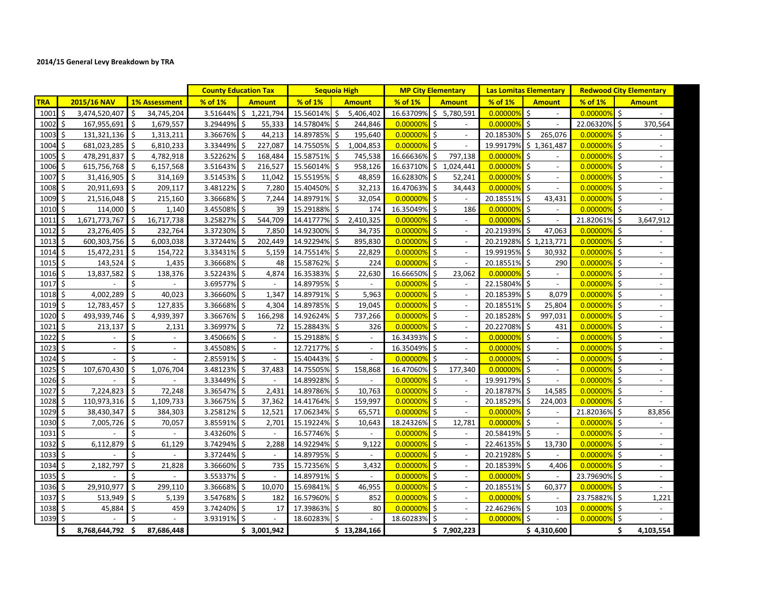## **2014/15 General Levy Breakdown by TRA**

|              |                         |                               | <b>County Education Tax</b> |                          | <b>Sequoia High</b> |                                | <b>MP City Elementary</b> |                                | <b>Las Lomitas Elementary</b> |                                  | <b>Redwood City Elementary</b> |                                                |
|--------------|-------------------------|-------------------------------|-----------------------------|--------------------------|---------------------|--------------------------------|---------------------------|--------------------------------|-------------------------------|----------------------------------|--------------------------------|------------------------------------------------|
| <b>TRA</b>   | 2015/16 NAV             | <b>1% Assessment</b>          | % of 1%                     | <b>Amount</b>            | % of 1%             | <b>Amount</b>                  | % of 1%                   | <b>Amount</b>                  | % of 1%                       | <b>Amount</b>                    | % of 1%                        | <b>Amount</b>                                  |
| $1001 \,$ \$ | 3,474,520,407           | Ŝ.<br>34,745,204              | 3.51644%                    | \$1,221,794              | 15.56014%           | Ś.<br>5,406,402                | 16.63709%                 | \$5,780,591                    | 0.00000%                      | Ś.<br>$\sim$                     | 0.00000%                       | $\mathsf{S}$                                   |
| 1002         | l s<br>167,955,691      | Ŝ.<br>1,679,557               | 3.29449%                    | 55,333<br>Ŝ.             | 14.57804%           | Ŝ.<br>244,846                  | 0.00000%                  | \$                             | 0.00000%                      | $\cdot$ \$<br>$\sim$             | 22.06320% \$                   | 370,564                                        |
| 1003         | ۱s<br>131,321,136       | $\ddot{\zeta}$<br>1,313,211   | 3.36676%                    | Ś<br>44,213              | 14.89785%           | 195,640<br>Ŝ                   | 0.00000%                  | Ś.<br>$\overline{\phantom{a}}$ | 20.18530%                     | 265,076<br>Ŝ                     | 0.00000%                       | Ŝ.                                             |
| $1004$ \$    | 681,023,285             | <b>1</b> \$<br>6,810,233      | 3.33449%                    | \$<br>227,087            | 14.75505%           | \$<br>1,004,853                | $0.00000\%$ \$            |                                | 19.99179%                     | \$1,361,487                      | $0.00000\%$ \$                 |                                                |
| $1005$ \$    | 478,291,837             | S.<br>4,782,918               | 3.52262%                    | \$<br>168,484            | 15.58751%           | \$<br>745,538                  | 16.66636%                 | \$<br>797,138                  | 0.00000%                      | Ŝ.                               | 0.00000%                       | S.                                             |
| 1006 \$      | 615,756,768 \$          | 6,157,568                     | 3.51643%                    | \$<br>216,527            | 15.56014% \$        | 958,126                        | 16.63710%                 | \$<br>1,024,441                | 0.00000%                      | l\$<br>$\sim$                    | 0.00000%                       | l \$<br>$\sim$                                 |
| 1007         | Ś.<br>31,416,905        | -\$<br>314,169                | 3.51453%                    | \$<br>11,042             | 15.55195% \$        | 48,859                         | 16.62830%                 | Ś<br>52,241                    | 0.00000%                      | S.<br>$\sim$                     | 0.00000%                       | l \$<br>$\overline{\phantom{a}}$               |
| $1008$ \$    | 20,911,693              | 5<br>209,117                  | 3.48122% \$                 | 7,280                    | 15.40450% \$        | 32,213                         | 16.47063%                 | S.<br>34,443                   | $0.00000\%$ \$                | $\overline{\phantom{a}}$         | 0.00000%                       | l\$                                            |
| 1009S        | 21,516,048              | Ś.<br>215,160                 | 3.36668%                    | Ŝ.<br>7,244              | 14.89791% \$        | 32,054                         | 0.00000%                  | Ś.                             | 20.18551% \$                  | 43,431                           | 0.00000%                       | l \$<br>$\overline{\phantom{a}}$               |
| 1010 \$      | 114,000                 | Ŝ.<br>1,140                   | 3.45508%                    | Ŝ.<br>39                 | 15.29188% \$        | 174                            | 16.35049%                 | Ś.<br>186                      | 0.00000%                      | l \$<br>$\sim$                   | 0.00000%                       | l \$                                           |
| 1011         | 1,671,773,767<br>Ŝ.     | 16,717,738<br>Ŝ.              | 3.25827%                    | \$<br>544,709            | 14.41777%           | 2,410,325<br>\$                | 0.00000%                  | \$<br>$\overline{\phantom{a}}$ | 0.00000%                      | l \$<br>$\blacksquare$           | 21.82061% \$                   | 3,647,912                                      |
| $1012 \,$ \$ | 23,276,405              | l \$<br>232,764               | 3.37230% \$                 | 7,850                    | 14.92300% \$        | 34,735                         | 0.00000%                  | S.                             | 20.21939%                     | Ś<br>47,063                      | 0.00000%                       | l \$                                           |
| $1013 \,$ \$ | 600,303,756             | 5 ا<br>6,003,038              | 3.37244%                    | \$<br>202,449            | 14.92294%           | \$<br>895,830                  | 0.00000%                  | \$                             | 20.21928%                     | \$1,213,771                      | 0.00000%                       | l \$<br>$\blacksquare$                         |
| 1014         | \$<br>15,472,231        | Ś.<br>154,722                 | 3.33431%                    | \$<br>5,159              | 14.75514%           | 22,829<br>S                    | 0.00000%                  | \$                             | 19.99195%                     | 30,932<br>S                      | 0.00000%                       | \$                                             |
| $1015$ \$    | $143,524$ \$            | 1,435                         | 3.36668% \$                 | 48                       | 15.58762% \$        | 224                            | 0.00000%                  | $\zeta$<br>$\overline{a}$      | 20.18551%                     | 290                              | 0.00000%                       | l \$<br>$\overline{\phantom{a}}$               |
| $1016$ \$    | 13,837,582              | S.<br>138,376                 | 3.52243% \$                 | 4,874                    | 16.35383%           | 22,630<br>S.                   | 16.66650%                 | \$<br>23,062                   | 0.00000%                      | Ŝ.<br>$\overline{\phantom{a}}$   | 0.00000%                       | ۱\$                                            |
| $1017 \,$ \$ |                         | \$                            | 3.69577%\$                  |                          | 14.89795% \$        | $\sim$                         | $0.00000\%$ \$            |                                | 22.15804%                     | $\sim$                           | $0.00000\%$ \$                 |                                                |
| 10185        | 4,002,289               | S.<br>40,023                  | 3.36660% \$                 | 1,347                    | 14.89791% \$        | 5,963                          | $0.00000\%$ \$            |                                | 20.18539%                     | \$<br>8,079                      | 0.00000%                       | $\overline{\mathsf{S}}$                        |
| 1019 \$      | 12,783,457              | ۱s<br>127,835                 | 3.36668%                    | \$<br>4,304              | 14.89785%           | 19,045                         | 0.00000%                  | \$                             | 20.18551%                     | Ŝ.<br>25,804                     | 0.00000%                       | l \$<br>$\sim$                                 |
| 1020         | Ś<br>493,939,746        | S.<br>4,939,397               | 3.36676%                    | \$<br>166,298            | 14.92624%           | 737,266<br>Ŝ                   | 0.00000%                  | Ś<br>$\overline{\phantom{a}}$  | 20.18528%                     | 997,031                          | 0.00000%                       | $\mathsf{\hat{S}}$<br>$\overline{\phantom{a}}$ |
| 1021         | -Ś<br>213,137           | Ŝ.<br>2,131                   | 3.36997%\$                  | 72                       | 15.28843% \$        | 326                            | 0.00000%                  | Ŝ.                             | 20.22708%                     | 431                              | 0.00000%                       | l \$                                           |
| 1022         | - Ś                     | \$                            | 3.45066% \$                 |                          | 15.29188% \$        |                                | 16.34393%                 | Ŝ.                             | 0.00000%                      | $\mathsf{S}$<br>$\sim$           | 0.00000%                       | l \$<br>$\sim$                                 |
| $1023$ \$    | $\mathcal{L}$           | Ś<br>$\overline{\phantom{a}}$ | 3.45508% \$                 |                          | 12.72177% \$        |                                | 16.35049% \$              |                                | 0.00000%                      | l \$<br>$\overline{\phantom{a}}$ | 0.00000%                       | l \$<br>$\sim$                                 |
| 1024 \$      |                         | Ś<br>$\overline{\phantom{a}}$ | 2.85591%\$                  | $\overline{\phantom{a}}$ | 15.40443% \$        | $\sim$                         | 0.00000%                  | \$<br>$\overline{\phantom{a}}$ | 0.00000%                      | l \$<br>$\blacksquare$           | 0.00000%                       | l \$<br>$\overline{\phantom{a}}$               |
| 1025         | l \$<br>107,670,430     | \$<br>1,076,704               | 3.48123% \$                 | 37,483                   | 14.75505%           | 158,868<br>S.                  | 16.47060%                 | \$<br>177,340                  | 0.00000%                      | l \$<br>$\overline{\phantom{a}}$ | 0.00000%                       | l \$                                           |
| $1026$ \$    |                         | Ś.                            | 3.33449%                    | \$                       | 14.89928% \$        |                                | 0.00000%                  | \$                             | 19.99179% \$                  | $\overline{\phantom{a}}$         | 0.00000%                       | l \$<br>$\blacksquare$                         |
| 1027         | l \$<br>7,224,823       | Ś.<br>72,248                  | 3.36547%                    | \$<br>2,431              | 14.89786%           | 10,763<br>Ś.                   | 0.00000%                  | \$                             | 20.18787%                     | 14,585<br>Ŝ.                     | 0.00000%                       | $\mathsf{\hat{S}}$                             |
| 1028 \$      | 110,973,316 \$          | 1,109,733                     | 3.36675% \$                 | 37,362                   | 14.41764%           | Ŝ.<br>159,997                  | 0.00000%                  | Ś<br>$\overline{\phantom{a}}$  | 20.18529%                     | Ŝ.<br>224,003                    | 0.00000%                       | S.<br>$\overline{\phantom{a}}$                 |
| 1029         | -\$<br>38,430,347       | \$<br>384,303                 | 3.25812%                    | \$<br>12,521             | 17.06234%           | \$<br>65,571                   | 0.00000%                  | \$<br>$\overline{\phantom{a}}$ | 0.00000%                      | -\$<br>$\overline{\phantom{a}}$  | 21.82036% \$                   | 83,856                                         |
| 1030         | 7,005,726<br>-\$        | \$<br>70,057                  | 3.85591%                    | \$<br>2,701              | 15.19224%           | \$.<br>10,643                  | 18.24326%                 | \$<br>12,781                   | 0.00000%                      | \$<br>$\blacksquare$             | 0.00000%                       | Ŝ.<br>$\overline{a}$                           |
| $1031 \;$ \$ |                         | Ś                             | 3.43260%                    | \$                       | 16.57746%           | \$<br>$\overline{\phantom{a}}$ | 0.00000%                  | \$                             | 20.58419%                     | \$                               | 0.00000%                       | l \$                                           |
| 1032         | l ś<br>6,112,879        | Ŝ.<br>61,129                  | 3.74294%                    | \$<br>2,288              | 14.92294% \$        | 9,122                          | $0.00000\%$ \$            |                                | 22.46135%                     | 13,730<br>Ŝ.                     | 0.00000%                       | l \$<br>$\sim$                                 |
| 1033         | l \$                    | \$                            | 3.37244% \$                 | $\overline{\phantom{a}}$ | 14.89795% \$        | $\sim$                         | 0.00000%                  | \$<br>$\sim$                   | 20.21928% \$                  | $\blacksquare$                   | 0.00000%                       | l \$<br>$\overline{a}$                         |
| 1034 \$      | 2,182,797               | Ŝ.<br>21,828                  | 3.36660% \$                 | 735                      | 15.72356%           | \$<br>3,432                    | $0.00000\%$ \$            |                                | 20.18539% \$                  | 4,406                            | 0.00000%                       | l \$                                           |
| 1035         | ۱Ś                      | Ś.                            | 3.55337%                    | Ŝ.                       | 14.89791% \$        |                                | 0.00000%                  | Ś.                             | 0.00000%                      | Ŝ.                               | 23.79690% \$                   | $\overline{a}$                                 |
| $1036$ \$    | 29,910,977              | $\mathsf{\dot{S}}$<br>299,110 | 3.36668%                    | \$<br>10,070             | 15.69841%           | 46,955<br>-\$                  | 0.00000%                  | \$                             | 20.18551%                     | Ŝ.<br>60,377                     | 0.00000%                       | l \$                                           |
| 1037         | l s<br>513,949          | -\$<br>5,139                  | 3.54768% \$                 | 182                      | 16.57960% \$        | 852                            | 0.00000%                  | \$<br>$\overline{\phantom{a}}$ | 0.00000%                      | \$<br>$\sim$                     | 23.75882% \$                   | 1,221                                          |
| 1038 \$      | 45,884                  | ۱\$<br>459                    | 3.74240% \$                 | 17                       | 17.39863% \$        | 80                             | $ 0.00000\% $ \$          |                                | 22.46296%                     | 103                              | 0.00000%                       | l\$                                            |
| $1039$ \$    |                         | Ś.                            | 3.93191%                    | \$                       | 18.60283% \$        |                                | 18.60283%                 | \$                             | 0.00000%                      | Ŝ.                               | 0.00000%                       | l \$                                           |
|              | \$.<br>8,768,644,792 \$ | 87,686,448                    |                             | \$3,001,942              |                     | \$13,284,166                   |                           | \$7,902,223                    |                               | \$4,310,600                      |                                | \$<br>4,103,554                                |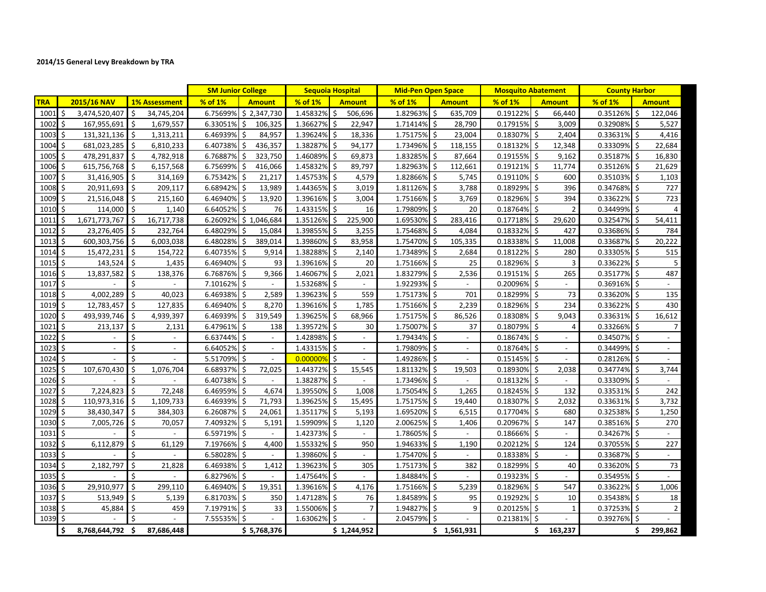## **2014/15 General Levy Breakdown by TRA**

|                  |                        |                      | <b>SM Junior College</b>                |                      | <b>Sequoia Hospital</b>        | <b>Mid-Pen Open Space</b> |                                | <b>Mosquito Abatement</b> |                          | <b>County Harbor</b> |                                |
|------------------|------------------------|----------------------|-----------------------------------------|----------------------|--------------------------------|---------------------------|--------------------------------|---------------------------|--------------------------|----------------------|--------------------------------|
| <b>TRA</b>       | 2015/16 NAV            | <b>1% Assessment</b> | % of 1%<br><b>Amount</b>                | % of 1%              | <b>Amount</b>                  | % of 1%                   | <b>Amount</b>                  | % of 1%                   | <b>Amount</b>            | % of 1%              | <b>Amount</b>                  |
| 1001             | Ŝ.<br>3,474,520,407    | \$<br>34,745,204     | \$2,347,730<br>6.75699%                 | 1.45832%             | \$<br>506,696                  | 1.82963%                  | Ŝ.<br>635,709                  | 0.19122%                  | Ŝ.<br>66,440             | 0.35126%             | \$<br>122,046                  |
| 1002             | -Ś<br>167,955,691      | 1,679,557<br>Ŝ.      | Ŝ.<br>106,325<br>6.33051%               | 1.36627%             | Ŝ.<br>22,947                   | 1.71414%                  | Ś<br>28,790                    | 0.17915%                  | $\frac{1}{2}$<br>3,009   | 0.32908%             | Ŝ.<br>5,527                    |
| 1003             | \$<br>131,321,136      | -\$<br>1,313,211     | 6.46939%<br>84,957                      | 1.39624% \$          | 18,336                         | 1.75175%                  | \$<br>23,004                   | 0.18307%                  | Ŝ.<br>2,404              | 0.33631%             | \$<br>4,416                    |
| 1004             | 681,023,285<br>-\$     | -\$<br>6,810,233     | 6.40738%<br>436,357<br>\$               | 1.38287% \$          | 94,177                         | 1.73496%                  | 118,155<br>\$                  | 0.18132%                  | 12,348<br>\$             | 0.33309%             | 22,684<br>\$                   |
| 1005             | Ŝ.<br>478,291,837      | -\$<br>4,782,918     | 6.76887%<br>Ś<br>323,750                | 1.46089%             | -\$<br>69,873                  | 1.83285%                  | Ś<br>87,664                    | 0.19155%                  | S.<br>9,162              | 0.35187%             | \$<br>16,830                   |
| 1006             | l \$<br>615,756,768    | -\$<br>6,157,568     | $6.75699\%$ \$<br>416,066               | 1.45832%             | 89,797<br>-\$                  | 1.82963%                  | -\$<br>112,661                 | 0.19121%                  | l \$<br>11,774           | 0.35126%             | 21,629<br>-\$                  |
| 1007             | Ŝ.<br>31,416,905       | Ŝ.<br>314,169        | 6.75342%<br>21,217<br>Ś                 | 1.45753% \$          | 4,579                          | 1.82866%                  | 5,745<br>Ŝ.                    | $0.19110\%$ \$            | 600                      | 0.35103%             | -\$<br>1,103                   |
| $1008 \, \simeq$ | 20,911,693             | 209,117<br>\$        | 6.68942% \$<br>13,989                   | 1.44365%             | -\$<br>3,019                   | 1.81126%                  | 3,788<br>\$                    | 0.18929%                  | 396<br>\$                | 0.34768%             | 727<br>\$                      |
| 1009             | 21,516,048             | 215,160<br>-\$       | 6.46940%<br>Ś<br>13,920                 | 1.39616%             | 3,004<br>Ŝ.                    | 1.75166%                  | Ś<br>3,769                     | 0.18296%                  | 394<br>-Ś                | 0.33622%             | 723<br>Ŝ.                      |
| 1010             | Ś<br>114,000           | Ŝ.<br>1,140          | 6.64052% \$                             | 76<br>1.43315%       | 16<br>-\$                      | 1.79809%                  | \$<br>20                       | 0.18764%                  | Ŝ.<br>$\overline{2}$     | 0.34499%             | $\overline{4}$<br>\$           |
| 1011             | 1,671,773,767<br>Ŝ.    | Ŝ.<br>16,717,738     | 6.26092%<br>\$1,046,684                 | 1.35126%             | 225,900<br>-Ś                  | 1.69530%                  | 283,416<br>Ŝ.                  | 0.17718%                  | Ŝ.<br>29,620             | 0.32547%             | Ś<br>54,411                    |
| 1012             | Ŝ.<br>23,276,405       | 232,764<br>-\$       | 6.48029%<br>Ŝ.<br>15,084                | 1.39855%             | 3,255<br>-Ś                    | 1.75468%                  | -Ś<br>4,084                    | 0.18332%                  | -\$<br>427               | 0.33686%             | \$<br>784                      |
| 1013             | 600,303,756<br>-\$     | -\$<br>6,003,038     | \$<br>389,014<br>6.48028%               | 1.39860%             | 83,958<br>-\$                  | 1.75470%                  | 105,335<br>\$                  | 0.18338%                  | Ŝ.<br>11,008             | 0.33687%             | \$<br>20,222                   |
| 1014             | \$<br>15,472,231       | Ŝ.<br>154,722        | 9,914<br>6.40735%<br>Ŝ.                 | 1.38288%             | Ŝ.<br>2,140                    | 1.73489%                  | Ś.<br>2,684                    | 0.18122%                  | Ŝ.<br>280                | 0.33305%             | \$<br>515                      |
| 1015             | Ŝ.<br>143,524          | 5 ا<br>1,435         | 6.46940% \$                             | 1.39616%<br>93       | - Ś<br>20                      | 1.75166%                  | S.<br>25                       | 0.18296%                  | ۱Ś<br>3                  | 0.33622%             | Ś.<br>5                        |
| 1016             | 13,837,582<br>\$.      | Ŝ.<br>138,376        | 6.76876%<br>9,366<br>\$                 | 1.46067%             | -\$<br>2,021                   | 1.83279%                  | 2,536<br>\$                    | 0.19151%                  | 265<br>-\$               | 0.35177%             | \$<br>487                      |
| 1017             | -Ś                     | Ŝ.                   | 7.10162% \$<br>$\sim$                   | 1.53268%             | Ŝ.<br>$\sim$                   | 1.92293%                  | Ŝ.<br>$\overline{\phantom{a}}$ | 0.20096%                  | Ŝ.<br>$\blacksquare$     | 0.36916%             | -\$                            |
| 1018             | 4,002,289              | 40,023               | 2,589<br>6.46938%<br>\$                 | 1.39623%             | -\$<br>559                     | 1.75173%                  | \$<br>701                      | 0.18299%                  | 73<br>Ŝ.                 | 0.33620%             | 135<br>\$                      |
| 1019             | \$<br>12,783,457       | -\$<br>127,835       | \$<br>8,270<br>6.46940%                 | 1.39616%             | -\$<br>1,785                   | 1.75166%                  | \$<br>2,239                    | 0.18296%                  | 234<br>Ŝ.                | 0.33622%             | \$<br>430                      |
| 1020             | 493,939,746<br>Ś       | -\$<br>4,939,397     | 6.46939%<br>\$<br>319,549               | 1.39625% \$          | 68,966                         | 1.75175%                  | $\zeta$<br>86,526              | 0.18308% \$               | 9,043                    | 0.33631%             | \$<br>16,612                   |
| 1021             | -\$<br>213,137         | -\$<br>2,131         | 6.47961%   \$                           | 138<br>1.39572%      | -\$<br>30                      | 1.75007%                  | -\$<br>37                      | 0.18079%                  | -\$<br>4                 | 0.33266%             | $\overline{7}$<br>-\$          |
| 1022             | Ŝ.                     | Ś.                   | 6.63744% \$<br>$\blacksquare$           | 1.42898%             | -\$                            | 1.79434%                  | S.                             | 0.18674%                  | Ŝ.                       | 0.34507%             | -\$                            |
| 1023             | \$<br>$\mathbb{L}^2$   | Ś.<br>$\blacksquare$ | $\mathbb{L}$<br>6.64052% \$             | 1.43315%             | \$<br>$\overline{a}$           | 1.79809%                  | S.<br>$\mathbb{L}$             | $0.18764\%$               | $\overline{a}$           | 0.34499%             | \$<br>$\overline{\phantom{a}}$ |
| 1024             | Ŝ.                     |                      | 5.51709% \$<br>$\overline{\phantom{a}}$ | 0.00000%             | S.<br>$\overline{\phantom{a}}$ | 1.49286%                  | \$<br>$\overline{\phantom{a}}$ | $0.15145\%$ \$            | $\overline{\phantom{a}}$ | 0.28126%             | -\$<br>$\blacksquare$          |
| 1025             | 107,670,430<br>\$      | S.<br>1,076,704      | 6.68937% \$<br>72,025                   | 1.44372%             | -\$<br>15,545                  | 1.81132%                  | \$<br>19,503                   | 0.18930%                  | \$<br>2,038              | 0.34774%             | \$<br>3,744                    |
| 1026             | Ś.                     | Ŝ.                   | 6.40738% \$                             | 1.38287%             | Ŝ.                             | 1.73496%                  | -Ś<br>$\overline{\phantom{a}}$ | 0.18132%                  | Ŝ.                       | 0.33309%             | -Ś                             |
| 1027             | Ś.<br>7,224,823        | Ŝ.<br>72,248         | 6.46959% \$<br>4,674                    | 1.39550%             | -Ś<br>1,008                    | 1.75054%                  | Ś.<br>1,265                    | 0.18245%                  | Ŝ.<br>132                | 0.33531%             | -Ś<br>242                      |
| 1028             | \$<br>110,973,316      | -\$<br>1,109,733     | 6.46939%<br>Ŝ.<br>71,793                | 1.39625%             | -\$<br>15,495                  | 1.75175%                  | Ś.<br>19,440                   | 0.18307%                  | \$<br>2,032              | 0.33631%             | \$<br>3,732                    |
| 1029             | \$<br>38,430,347       | -\$<br>384,303       | 6.26087% \$<br>24,061                   | 1.35117%             | -\$<br>5,193                   | 1.69520%                  | \$<br>6,515                    | 0.17704%                  | 680<br>-\$               | 0.32538%             | \$<br>1,250                    |
| 1030             | \$<br>7,005,726        | -\$<br>70,057        | 7.40932%<br>$\ddot{\zeta}$<br>5,191     | 1.59909%             | Ŝ.<br>1,120                    | 2.00625%                  | Ŝ.<br>1,406                    | 0.20967%                  | Ŝ.<br>147                | 0.38516%             | Ś.<br>270                      |
| 1031             | \$                     |                      | 6.59719% \$                             | 1.42373%             | -Ś                             | 1.78605%                  | -Ś                             | 0.18666%                  | -\$                      | 0.34267%             | -\$                            |
| 1032             | Ś<br>6,112,879         | Ŝ.<br>61,129         | 7.19766% \$<br>4,400                    | 1.55332%             | -Ś<br>950                      | 1.94633%                  | Ŝ.<br>1,190                    | 0.20212%                  | Ŝ.<br>124                | 0.37055%             | Ŝ.<br>227                      |
| 1033             | \$                     | \$                   | 6.58028% \$                             | 1.39860%             | \$                             | 1.75470%                  | \$                             | 0.18338%                  | \$                       | 0.33687%             | \$                             |
| 1034             | \$<br>2,182,797        | \$<br>21,828         | 6.46938% \$<br>1,412                    | 1.39623%             | -\$<br>305                     | 1.75173%                  | Ŝ.<br>382                      | 0.18299%                  | Ŝ.<br>40                 | 0.33620%             | 73<br>\$                       |
| 1035             | Ŝ.                     |                      | 6.82796%<br>Ś.                          | 1.47564%             | -\$                            | 1.84884%                  | \$                             | 0.19323%                  | Ŝ.                       | 0.35495%             | \$                             |
| 1036             | 29,910,977<br>l \$     | Ŝ.<br>299,110        | 19,351<br>6.46940%<br>\$                | 1.39616%             | -\$<br>4,176                   | 1.75166%                  | \$<br>5,239                    | 0.18296%                  | Ŝ.<br>547                | 0.33622%             | Ŝ.<br>1,006                    |
| 1037             | Ŝ.<br>513,949          | Ŝ.<br>5,139          | 6.81703% \$                             | 1.47128%<br>350      | -\$<br>76                      | 1.84589%                  | \$<br>95                       | 0.19292%                  | Ŝ.<br>10                 | 0.35438%             | \$<br>18                       |
| $1038$ \$        | 45,884                 | 459<br>-\$           | 7.19791% \$                             | 33<br>$1.55006\%$ \$ | 7                              | 1.94827%                  | \$<br>9                        | $0.20125\%$ \$            | 1                        | 0.37253%             | $\overline{2}$<br>\$           |
| 1039 \$          |                        | Ś                    | \$<br>7.55535%                          | 1.63062%             | Ŝ.                             | 2.04579%                  | \$                             | 0.21381%                  | \$                       | 0.39276%             | \$                             |
|                  | \$<br>8,768,644,792 \$ | 87,686,448           | \$5,768,376                             |                      | \$1,244,952                    |                           | \$1,561,931                    |                           | \$<br>163,237            |                      | \$<br>299,862                  |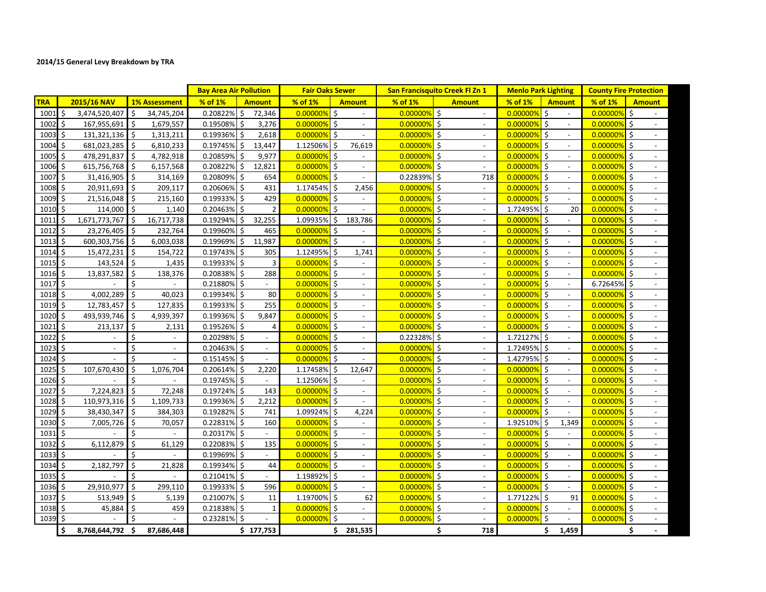## **2014/15 General Levy Breakdown by TRA**

|                  |                                |                               | <b>Bay Area Air Pollution</b> |                             | <b>Fair Oaks Sewer</b> |                                                 | <b>San Francisquito Creek Fl Zn 1</b> |                                | <b>Menlo Park Lighting</b> |                                 |          | <b>County Fire Protection</b>       |
|------------------|--------------------------------|-------------------------------|-------------------------------|-----------------------------|------------------------|-------------------------------------------------|---------------------------------------|--------------------------------|----------------------------|---------------------------------|----------|-------------------------------------|
| <b>TRA</b>       | 2015/16 NAV                    | <b>1% Assessment</b>          | % of 1%                       | <b>Amount</b>               | % of 1%                | <b>Amount</b>                                   | % of 1%                               | <b>Amount</b>                  | % of 1%                    | <b>Amount</b>                   | % of 1%  | <b>Amount</b>                       |
| $1001 \,$ \$     | 3,474,520,407                  | Ś.<br>34,745,204              | Ŝ.<br>0.20822%                | 72,346                      | $0.00000\%$            |                                                 | 0.00000%                              | $\boldsymbol{\zeta}$           | $0.00000\%$ \$             | $\blacksquare$                  | 0.00000% | $\zeta$                             |
| 1002             | Ŝ.<br>167,955,691              | Ŝ.<br>1,679,557               | Ŝ.<br>0.19508%                | 3,276                       | 0.00000%               | $\zeta$<br>$\sim$                               | 0.00000%                              | \$<br>$\sim$                   | $0.00000\%$ \$             | $\overline{a}$                  | 0.00000% | Ŝ.<br>$\overline{a}$                |
| 1003             | \$<br>131,321,136 \$           | 1,313,211                     | Ś.<br>0.19936%                | 2,618                       | 0.00000%               | $\sqrt{5}$<br>$ \,$                             | 0.00000%                              | \$<br>$\overline{\phantom{a}}$ | $0.00000\%$ \$             | $\blacksquare$                  | 0.00000% | \$                                  |
| $1004 \,$ \$     | 681,023,285 \$                 | 6,810,233                     | $0.19745\%$ \$                | 13,447                      | 1.12506%               | \$<br>76,619                                    | 0.00000%                              | \$<br>$\sim$                   | $0.00000\%$ \$             | $\blacksquare$                  | 0.00000% | \$                                  |
| 1005             | S.<br>478,291,837              | \$<br>4,782,918               | Ś.<br>0.20859%                | 9,977                       | 0.00000%               | $\mathsf{\dot{S}}$                              | 0.00000%                              | \$                             | $0.00000\%$ \$             |                                 | 0.00000% | Ŝ.                                  |
| 1006             | \$<br>615,756,768 \$           | 6,157,568                     | \$<br>0.20822%                | 12,821                      | $0.00000\%$ \$         | $\blacksquare$                                  | 0.00000%                              | \$<br>$\sim$                   | $\boxed{0.00000\%}$ \$     | $\mathbf{r}$                    | 0.00000% | $\zeta$                             |
| 1007             | Ś.<br>31,416,905               | Ŝ.<br>314,169                 | Ś.<br>0.20809%                | 654                         | 0.00000%               | $\mathsf{\dot{S}}$<br>$\sim$                    | 0.22839%                              | \$<br>718                      | $0.00000\%$ \$             | $\overline{\phantom{a}}$        | 0.00000% | Ŝ.<br>$\overline{\phantom{a}}$      |
| 1008             | 20,911,693 \$<br>Ŝ.            | 209,117                       | 0.20606% \$                   | 431                         | 1.17454% \$            | 2,456                                           | 0.00000%                              | \$<br>$\sim$                   | $0.00000\%$ \$             | $\overline{\phantom{a}}$        | 0.00000% | $\zeta$                             |
| 1009             | Ŝ.<br>21,516,048               | Ŝ.<br>215,160                 | 0.19933%<br>Ŝ.                | 429                         | 0.00000%               | Ŝ.<br>$\overline{a}$                            | 0.00000%                              | Ŝ.                             | 0.00000%                   | l s<br>$\overline{\phantom{a}}$ | 0.00000% | Ŝ.                                  |
| 1010             | $\mathsf{\dot{S}}$<br>114,000  | Is.<br>1,140                  | Ŝ.<br>0.20463%                | $\overline{2}$              | $0.00000\%$ \$         |                                                 | 0.00000%                              | \$<br>$\sim$                   | 1.72495% \$                | 20                              | 0.00000% | Ś.                                  |
| 1011             | Ś.<br>1,671,773,767            | Ŝ.<br>16,717,738              | \$<br>0.19294%                | 32,255                      | 1.09935%               | \$<br>183,786                                   | 0.00000%                              | \$<br>$\sim$                   | $[0.00000\%]$ \$           | $\blacksquare$                  | 0.00000% | $\zeta$<br>$\overline{\phantom{a}}$ |
| 1012             | \$<br>23,276,405               | Ŝ.<br>232,764                 | 0.19960%<br>Ś.                | 465                         | 0.00000%               | \$<br>$\overline{\phantom{a}}$                  | 0.00000%                              | \$<br>$\overline{\phantom{a}}$ | $0.00000\%$ \$             | $\overline{\phantom{a}}$        | 0.00000% | \$                                  |
| 1013             | Ŝ.<br>600,303,756              | Ŝ.<br>6,003,038               | \$<br>0.19969%                | 11,987                      | 0.00000%               | -\$<br>$\sim$                                   | 0.00000%                              | \$<br>$\sim$                   | 0.00000%                   | S.<br>$\overline{\phantom{a}}$  | 0.00000% | Ŝ.                                  |
| 1014             | \$<br>15,472,231               | \$<br>154,722                 | 0.19743%<br>Ś.                | 305                         | 1.12495% \$            | 1,741                                           | 0.00000%                              | \$                             | 0.00000%                   | l\$                             | 0.00000% | Ŝ.                                  |
| $1015$ \$        | $143,524$ \$                   | 1,435                         | $0.19933\%$ \$                | 3                           | 0.00000%               | $\mathsf{S}$<br>$\overline{\phantom{a}}$        | 0.00000%                              | \$<br>$\overline{a}$           | $0.00000\%$ \$             | $\sim$                          | 0.00000% | \$<br>$\blacksquare$                |
| 1016             | \$<br>13,837,582               | Ŝ.<br>138,376                 | $0.20838\%$ \$                | 288                         | 0.00000%               | $\sqrt{5}$<br>$\overline{\phantom{a}}$          | 0.00000%                              | \$<br>$\overline{\phantom{a}}$ | $0.00000\%$ \$             | $\blacksquare$                  | 0.00000% | $\zeta$                             |
| $1017$ \$        |                                | \$                            | $0.21880\%$ \$                | $\mathcal{L}_{\mathcal{A}}$ | $0.00000\%$ \$         | $\overline{\phantom{a}}$                        | 0.00000%                              | \$<br>$\overline{\phantom{a}}$ | $0.00000\%$ \$             | $\blacksquare$                  | 6.72645% | -\$                                 |
| 1018             | S.<br>4,002,289                | Ś.<br>40,023                  | 0.19934% \$                   | 80                          | 0.00000%               | \$<br>$\blacksquare$                            | 0.00000%                              | \$                             | $0.00000\%$ \$             | $\blacksquare$                  | 0.00000% | Ŝ.                                  |
| 1019             | Ś.<br>12,783,457               | $\ddot{\zeta}$<br>127,835     | 0.19933% \$                   | 255                         | 0.00000%               | $\ddot{\mathsf{S}}$<br>$\blacksquare$           | 0.00000%                              | \$<br>$\blacksquare$           | $0.00000\%$ \$             | $\mathbf{r}$                    | 0.00000% | $\zeta$                             |
| 1020             | \$<br>493,939,746              | S.<br>4,939,397               | Ś.<br>0.19936%                | 9,847                       | 0.00000%               | $\mathsf{\dot{S}}$<br>$\sim$                    | 0.00000%                              | \$<br>$\sim$                   | $0.00000\%$ \$             | $\overline{\phantom{a}}$        | 0.00000% | Ŝ.<br>$\overline{\phantom{a}}$      |
| 1021             | Ŝ.<br>213,137                  | Ŝ.<br>2,131                   | $0.19526\%$ \$                | 4                           | 0.00000%               | $\mathsf{\dot{S}}$<br>$\overline{\phantom{a}}$  | 0.00000%                              | \$<br>$\sim$                   | $0.00000\%$ \$             | $\overline{\phantom{a}}$        | 0.00000% | Ŝ.                                  |
| 1022             | Ŝ.<br>$\overline{\phantom{a}}$ | Ś<br>$\overline{\phantom{a}}$ | 0.20298% \$                   |                             | 0.00000%               | -\$<br>$\overline{a}$                           | 0.22328%                              | \$<br>$\overline{\phantom{a}}$ | 1.72127%                   | Ŝ.<br>$\sim$                    | 0.00000% | Ŝ.                                  |
| 1023             | $\mathsf{\dot{S}}$<br>$\omega$ | \$<br>$\blacksquare$          | 0.20463% \$                   | $\overline{\phantom{a}}$    | 0.00000%               | $\ddot{\mathsf{S}}$<br>$\overline{\phantom{a}}$ | 0.00000%                              | \$<br>$\sim$                   | 1.72495% \$                |                                 | 0.00000% | Ŝ.                                  |
| $1024 \;$ \$     |                                | Ś<br>$\overline{\phantom{a}}$ | 0.15145% \$                   | $\sim$                      | 0.00000%               | $\mathsf{\dot{S}}$<br>$ \,$                     | 0.00000%                              | \$<br>$\sim$                   | 1.42795% \$                | $\overline{\phantom{a}}$        | 0.00000% | S.                                  |
| 1025             | Ŝ.<br>107,670,430              | Ś.<br>1,076,704               | S.<br>0.20614%                | 2,220                       | 1.17458%               | \$<br>12,647                                    | 0.00000%                              | \$<br>$\overline{\phantom{a}}$ | $0.00000\%$ \$             | $\overline{\phantom{a}}$        | 0.00000% | $\ddot{\varsigma}$                  |
| $1026$ \$        |                                | Ś                             | $0.19745\%$                   | $\sim$                      | 1.12506%               | -\$<br>$\sim$                                   | 0.00000%                              | \$                             | 0.00000%                   | l\$<br>$\sim$                   | 0.00000% | -\$                                 |
| 1027             | 7,224,823<br>Ŝ.                | \$<br>72,248                  | 0.19724%<br>Ŝ.                | 143                         | 0.00000%               | \$                                              | 0.00000%                              | \$                             | 0.00000%                   | S.                              | 0.00000% | Ŝ.                                  |
| 1028             | Ŝ.<br>110,973,316 \$           | 1,109,733                     | $0.19936\%$ \$                | 2,212                       | 0.00000%               | -\$<br>$\sim$                                   | 0.00000%                              | Ś<br>$\sim$                    | $0.00000\%$ \$             | $\blacksquare$                  | 0.00000% | Ŝ.<br>$\overline{\phantom{a}}$      |
| 1029             | \$<br>38,430,347               | \$<br>384,303                 | $0.19282\%$ \$                | 741                         | 1.09924%               | \$<br>4,224                                     | 0.00000%                              | \$<br>$\overline{\phantom{a}}$ | $0.00000\%$ \$             |                                 | 0.00000% | \$                                  |
| 1030             | \$<br>7,005,726                | Ŝ.<br>70,057                  | $0.22831\%$                   | 160                         | 0.00000%               | \$<br>$\sim$                                    | 0.00000%                              | \$                             | 1.92510%                   | \$<br>1,349                     | 0.00000% | \$                                  |
| 1031             | -\$                            | Ś                             | 0.20317% \$                   | $\overline{\phantom{a}}$    | $0.00000\%$ \$         |                                                 | 0.00000%                              | \$                             | $0.00000\%$ \$             |                                 | 0.00000% | $\ddot{\varsigma}$                  |
| 1032             | Ś.<br>6,112,879                | $\mathsf{S}$<br>61,129        | 0.22083% \$                   | 135                         | $0.00000\%$ \$         | $\omega$                                        | 0.00000%                              | \$<br>$\sim$                   | $0.00000\%$ \$             | $\sim$                          | 0.00000% | $\zeta$<br>$\overline{a}$           |
| 1033             | \$                             | \$                            | 0.19969% \$                   | $\sim$                      | $0.00000\%$ \$         | $\sim$                                          | 0.00000%                              | \$<br>$\sim$                   | $0.00000\%$ \$             | $\blacksquare$                  | 0.00000% | $\zeta$<br>$\overline{\phantom{a}}$ |
| 1034 \$          | 2,182,797                      | $\ddot{\zeta}$<br>21,828      | $0.19934\%$ \$                | 44                          | 0.00000%               | $\mathsf{S}$<br>$\overline{\phantom{a}}$        | 0.00000%                              | \$<br>$\overline{\phantom{a}}$ | $0.00000\%$ \$             | $\blacksquare$                  | 0.00000% | $\zeta$                             |
| 1035             | Ŝ.                             | Ś.                            | 0.21041% \$                   |                             | 1.19892% \$            | $\overline{a}$                                  | 0.00000%                              | \$<br>$\overline{\phantom{a}}$ | $0.00000\%$ \$             | $\sim$                          | 0.00000% | Ŝ.                                  |
| 1036             | Ŝ.<br>29,910,977               | $\mathsf{\dot{S}}$<br>299,110 | 0.19933% \$                   | 596                         | 0.00000%               | \$                                              | 0.00000%                              | \$                             | $ 0.00000\% $ \$           |                                 | 0.00000% | S.                                  |
| 1037             | Ŝ.<br>513,949                  | \$<br>5,139                   | 0.21007% \$                   | 11                          | 1.19700%               | $\mathsf{S}$<br>62                              | 0.00000%                              | \$<br>$\sim$                   | 1.77122% \$                | 91                              | 0.00000% | S.                                  |
| $1038 \, \simeq$ | 45,884 \$                      | 459                           | 0.21838% \$                   | $\mathbf{1}$                | $0.00000\%$ \$         | $\overline{\phantom{a}}$                        | 0.00000%                              | \$<br>$\sim$                   | $0.00000\%$ \$             | $\overline{\phantom{a}}$        | 0.00000% | \$                                  |
| 1039 \$          |                                | Ś.                            | 0.23281% \$                   |                             | 0.00000%               | Ŝ.                                              | 0.00000%                              | \$                             | 0.00000%                   | l \$                            | 0.00000% | Ŝ.                                  |
|                  | \$<br>8,768,644,792 \$         | 87,686,448                    |                               | \$177,753                   |                        | \$281,535                                       |                                       | \$<br>718                      |                            | Ś.<br>1,459                     |          | Ś.                                  |